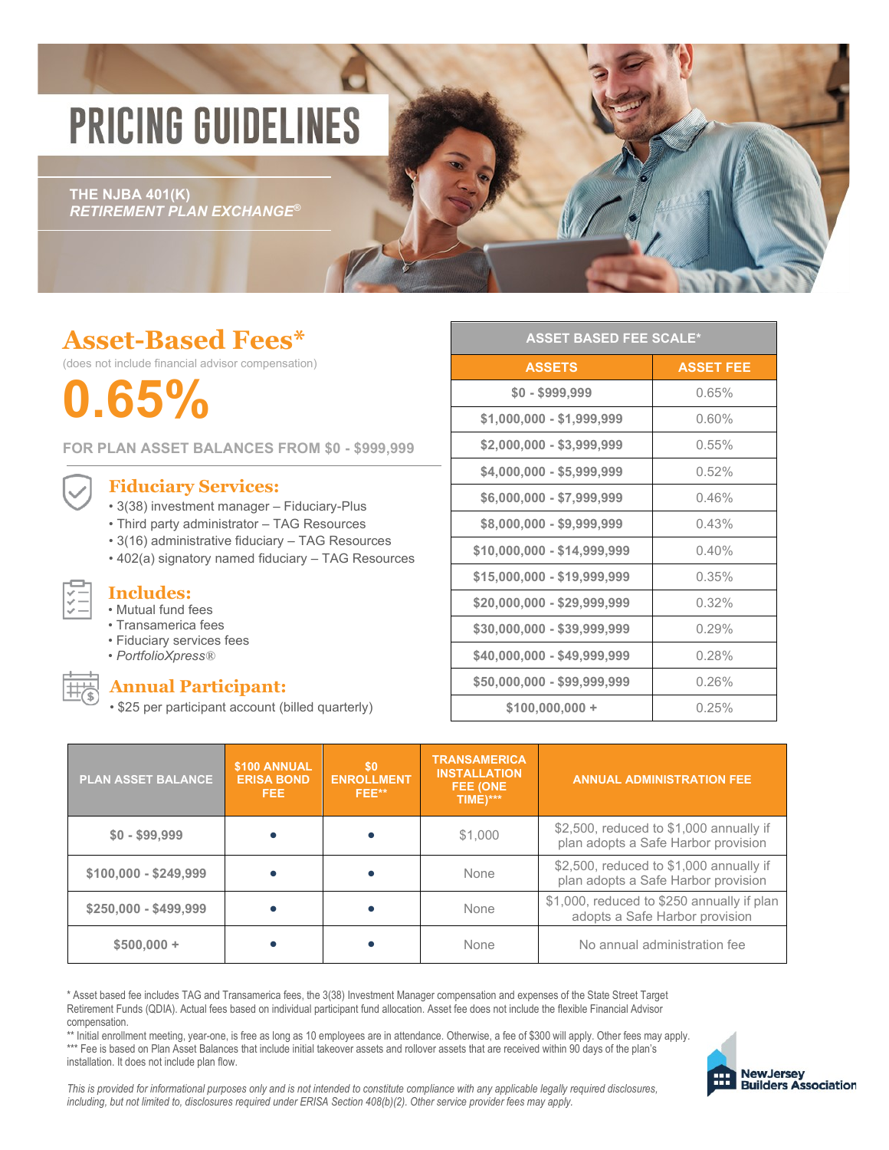# **PRICING GUIDELINES**

**THE NJBA 401(K)** *RETIREMENT PLAN EXCHANGE®*

## **Asset-Based Fees\***

(does not include financial advisor compensation)

**0.65%**

**FOR PLAN ASSET BALANCES FROM \$0 - \$999,999**

## **Fiduciary Services:**

- 3(38) investment manager Fiduciary-Plus
- Third party administrator TAG Resources
- 3(16) administrative fiduciary TAG Resources
- 402(a) signatory named fiduciary TAG Resources

• Mutual fund fees

**Includes:**

- Transamerica fees • Fiduciary services fees
- *PortfolioXpress®*
- 

### **Annual Participant:**

• \$25 per participant account (billed quarterly)

| <b>ASSET BASED FEE SCALE*</b> |                  |  |  |  |  |
|-------------------------------|------------------|--|--|--|--|
| <b>ASSETS</b>                 | <b>ASSET FEE</b> |  |  |  |  |
| $$0 - $999,999$               | 0.65%            |  |  |  |  |
| \$1,000,000 - \$1,999,999     | 0.60%            |  |  |  |  |
| \$2,000,000 - \$3,999,999     | 0.55%            |  |  |  |  |
| \$4,000,000 - \$5,999,999     | 0.52%            |  |  |  |  |
| \$6,000,000 - \$7,999,999     | 0.46%            |  |  |  |  |
| \$8,000,000 - \$9,999,999     | 0.43%            |  |  |  |  |
| \$10,000,000 - \$14,999,999   | 0.40%            |  |  |  |  |
| \$15,000,000 - \$19,999,999   | 0.35%            |  |  |  |  |
| \$20,000,000 - \$29,999,999   | 0.32%            |  |  |  |  |
| \$30,000,000 - \$39,999,999   | 0.29%            |  |  |  |  |
| \$40,000,000 - \$49,999,999   | 0.28%            |  |  |  |  |
| \$50,000,000 - \$99,999,999   | 0.26%            |  |  |  |  |
| $$100,000,000 +$              | 0.25%            |  |  |  |  |

| <b>PLAN ASSET BALANCE</b> | \$100 ANNUAL<br><b>ERISA BOND</b><br>FEE. | \$0<br><b>ENROLLMENT</b><br>FEE** | <b>TRANSAMERICA</b><br><b>INSTALLATION</b><br>FEE (ONE<br>TIME)*** | <b>ANNUAL ADMINISTRATION FEE</b>                                               |
|---------------------------|-------------------------------------------|-----------------------------------|--------------------------------------------------------------------|--------------------------------------------------------------------------------|
| $$0 - $99,999$            |                                           |                                   | \$1,000                                                            | \$2,500, reduced to \$1,000 annually if<br>plan adopts a Safe Harbor provision |
| $$100,000 - $249,999$     |                                           |                                   | None                                                               | \$2,500, reduced to \$1,000 annually if<br>plan adopts a Safe Harbor provision |
| $$250,000 - $499,999$     |                                           |                                   | None                                                               | \$1,000, reduced to \$250 annually if plan<br>adopts a Safe Harbor provision   |
| $$500,000 +$              |                                           |                                   | None                                                               | No annual administration fee                                                   |

\* Asset based fee includes TAG and Transamerica fees, the 3(38) Investment Manager compensation and expenses of the State Street Target Retirement Funds (QDIA). Actual fees based on individual participant fund allocation. Asset fee does not include the flexible Financial Advisor compensation.

\*\* Initial enrollment meeting, year-one, is free as long as 10 employees are in attendance. Otherwise, a fee of \$300 will apply. Other fees may apply. \*\*\* Fee is based on Plan Asset Balances that include initial takeover assets and rollover assets that are received within 90 days of the plan's installation. It does not include plan flow.



This is provided for informational purposes only and is not intended to constitute compliance with any applicable legally required disclosures, including, but not limited to, disclosures required under ERISA Section 408(b)(2). Other service provider fees may apply.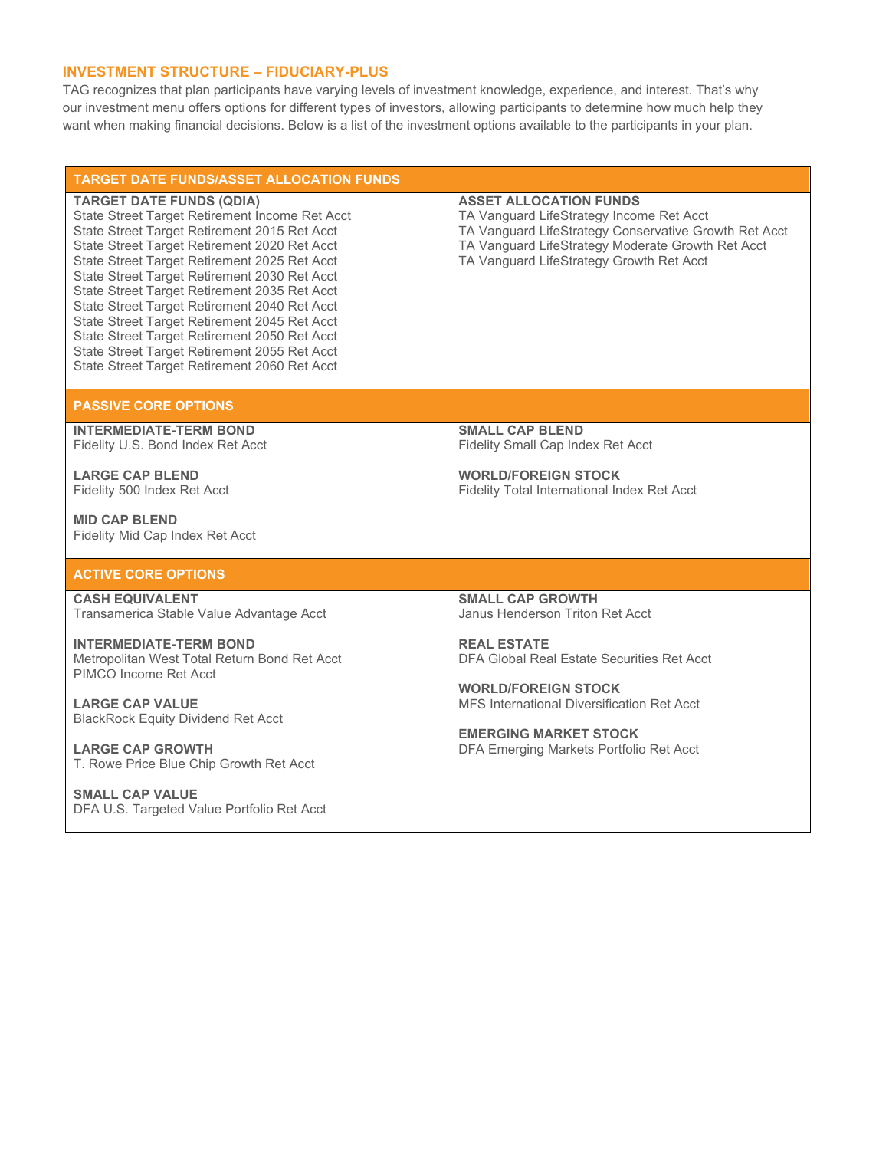#### **INVESTMENT STRUCTURE – FIDUCIARY-PLUS**

TAG recognizes that plan participants have varying levels of investment knowledge, experience, and interest. That's why our investment menu offers options for different types of investors, allowing participants to determine how much help they want when making financial decisions. Below is a list of the investment options available to the participants in your plan.

#### **TARGET DATE FUNDS/ASSET ALLOCATION FUNDS**

#### **TARGET DATE FUNDS (QDIA)**

State Street Target Retirement Income Ret Acct State Street Target Retirement 2015 Ret Acct State Street Target Retirement 2020 Ret Acct State Street Target Retirement 2025 Ret Acct State Street Target Retirement 2030 Ret Acct State Street Target Retirement 2035 Ret Acct State Street Target Retirement 2040 Ret Acct State Street Target Retirement 2045 Ret Acct State Street Target Retirement 2050 Ret Acct State Street Target Retirement 2055 Ret Acct State Street Target Retirement 2060 Ret Acct

#### **ASSET ALLOCATION FUNDS**

TA Vanguard LifeStrategy Income Ret Acct TA Vanguard LifeStrategy Conservative Growth Ret Acct TA Vanguard LifeStrategy Moderate Growth Ret Acct TA Vanguard LifeStrategy Growth Ret Acct

#### **PASSIVE CORE OPTIONS**

**INTERMEDIATE-TERM BOND** Fidelity U.S. Bond Index Ret Acct

**LARGE CAP BLEND** Fidelity 500 Index Ret Acct

**MID CAP BLEND** Fidelity Mid Cap Index Ret Acct

#### **ACTIVE CORE OPTIONS**

**CASH EQUIVALENT** Transamerica Stable Value Advantage Acct

**INTERMEDIATE-TERM BOND** Metropolitan West Total Return Bond Ret Acct PIMCO Income Ret Acct

**LARGE CAP VALUE** BlackRock Equity Dividend Ret Acct

**LARGE CAP GROWTH** T. Rowe Price Blue Chip Growth Ret Acct

**SMALL CAP VALUE** DFA U.S. Targeted Value Portfolio Ret Acct **SMALL CAP BLEND** Fidelity Small Cap Index Ret Acct

**WORLD/FOREIGN STOCK** Fidelity Total International Index Ret Acct

**SMALL CAP GROWTH** Janus Henderson Triton Ret Acct

**REAL ESTATE** DFA Global Real Estate Securities Ret Acct

**WORLD/FOREIGN STOCK** MFS International Diversification Ret Acct

**EMERGING MARKET STOCK** DFA Emerging Markets Portfolio Ret Acct